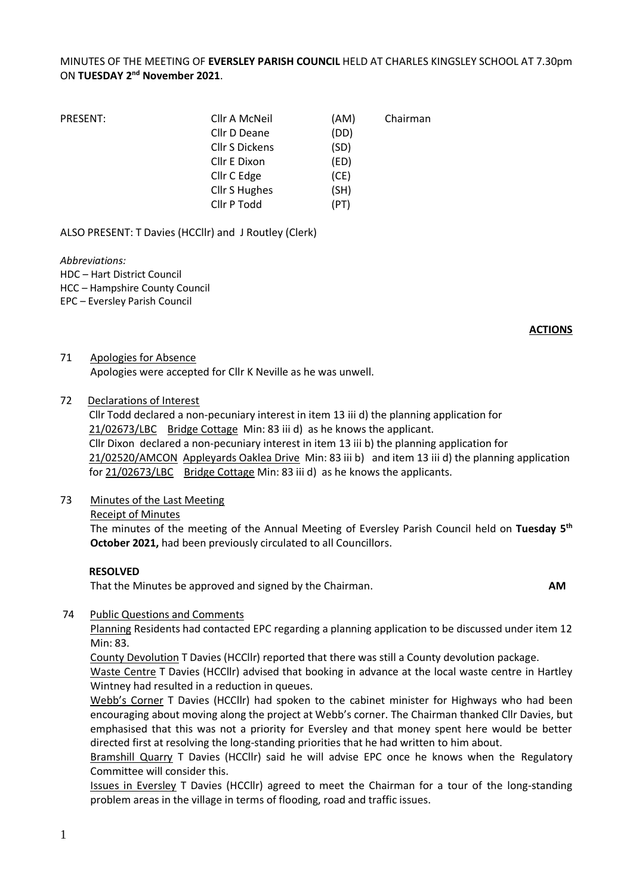## MINUTES OF THE MEETING OF **EVERSLEY PARISH COUNCIL** HELD AT CHARLES KINGSLEY SCHOOL AT 7.30pm ON **TUESDAY 2 nd November 2021**.

| PRESENT: | Cllr A McNeil         | (AM) | Chairman |
|----------|-----------------------|------|----------|
|          | Cllr D Deane          | (DD) |          |
|          | <b>Cllr S Dickens</b> | (SD) |          |
|          | Cllr E Dixon          | (ED) |          |
|          | Cllr C Edge           | (CE) |          |
|          | <b>Cllr S Hughes</b>  | (SH) |          |
|          | Cllr P Todd           | (PT) |          |

ALSO PRESENT: T Davies (HCCllr) and J Routley (Clerk)

*Abbreviations:*  HDC – Hart District Council HCC – Hampshire County Council EPC – Eversley Parish Council

**ACTIONS**

71 Apologies for Absence Apologies were accepted for Cllr K Neville as he was unwell.

#### 72 Declarations of Interest

Cllr Todd declared a non-pecuniary interest in item 13 iii d) the planning application for 21/02673/LBC Bridge Cottage Min: 83 iii d) as he knows the applicant. Cllr Dixon declared a non-pecuniary interest in item 13 iii b) the planning application for 21/02520/AMCON Appleyards Oaklea Drive Min: 83 iii b) and item 13 iii d) the planning application for 21/02673/LBC Bridge Cottage Min: 83 iii d) as he knows the applicants.

#### 73 Minutes of the Last Meeting

Receipt of Minutes

The minutes of the meeting of the Annual Meeting of Eversley Parish Council held on **Tuesday 5 th October 2021,** had been previously circulated to all Councillors.

#### **RESOLVED**

That the Minutes be approved and signed by the Chairman. **AM**

#### 74 Public Questions and Comments

Planning Residents had contacted EPC regarding a planning application to be discussed under item 12 Min: 83.

County Devolution T Davies (HCCllr) reported that there was still a County devolution package. Waste Centre T Davies (HCCllr) advised that booking in advance at the local waste centre in Hartley Wintney had resulted in a reduction in queues.

Webb's Corner T Davies (HCCllr) had spoken to the cabinet minister for Highways who had been encouraging about moving along the project at Webb's corner. The Chairman thanked Cllr Davies, but emphasised that this was not a priority for Eversley and that money spent here would be better directed first at resolving the long-standing priorities that he had written to him about.

Bramshill Quarry T Davies (HCCllr) said he will advise EPC once he knows when the Regulatory Committee will consider this.

Issues in Eversley T Davies (HCCllr) agreed to meet the Chairman for a tour of the long-standing problem areas in the village in terms of flooding, road and traffic issues.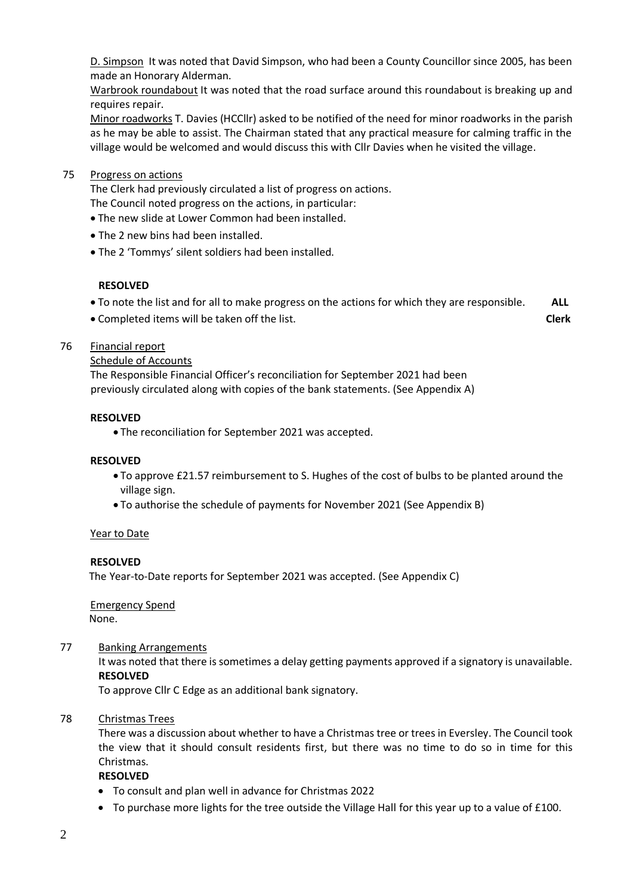D. Simpson It was noted that David Simpson, who had been a County Councillor since 2005, has been made an Honorary Alderman.

Warbrook roundabout It was noted that the road surface around this roundabout is breaking up and requires repair.

Minor roadworks T. Davies (HCCllr) asked to be notified of the need for minor roadworks in the parish as he may be able to assist. The Chairman stated that any practical measure for calming traffic in the village would be welcomed and would discuss this with Cllr Davies when he visited the village.

#### 75 Progress on actions

The Clerk had previously circulated a list of progress on actions.

- The Council noted progress on the actions, in particular:
- The new slide at Lower Common had been installed.
- The 2 new bins had been installed.
- The 2 'Tommys' silent soldiers had been installed.

#### **RESOLVED**

- To note the list and for all to make progress on the actions for which they are responsible. **ALL**
- Completed items will be taken off the list. **Clerk**

#### 76 Financial report

Schedule of Accounts

The Responsible Financial Officer's reconciliation for September 2021 had been previously circulated along with copies of the bank statements. (See Appendix A)

#### **RESOLVED**

• The reconciliation for September 2021 was accepted.

#### **RESOLVED**

- To approve £21.57 reimbursement to S. Hughes of the cost of bulbs to be planted around the village sign.
- To authorise the schedule of payments for November 2021 (See Appendix B)

#### Year to Date

#### **RESOLVED**

The Year-to-Date reports for September 2021 was accepted. (See Appendix C)

Emergency Spend None.

#### 77 Banking Arrangements

It was noted that there is sometimes a delay getting payments approved if a signatory is unavailable. **RESOLVED**

To approve Cllr C Edge as an additional bank signatory.

#### 78 Christmas Trees

There was a discussion about whether to have a Christmas tree or trees in Eversley. The Council took the view that it should consult residents first, but there was no time to do so in time for this Christmas.

#### **RESOLVED**

- To consult and plan well in advance for Christmas 2022
- To purchase more lights for the tree outside the Village Hall for this year up to a value of £100.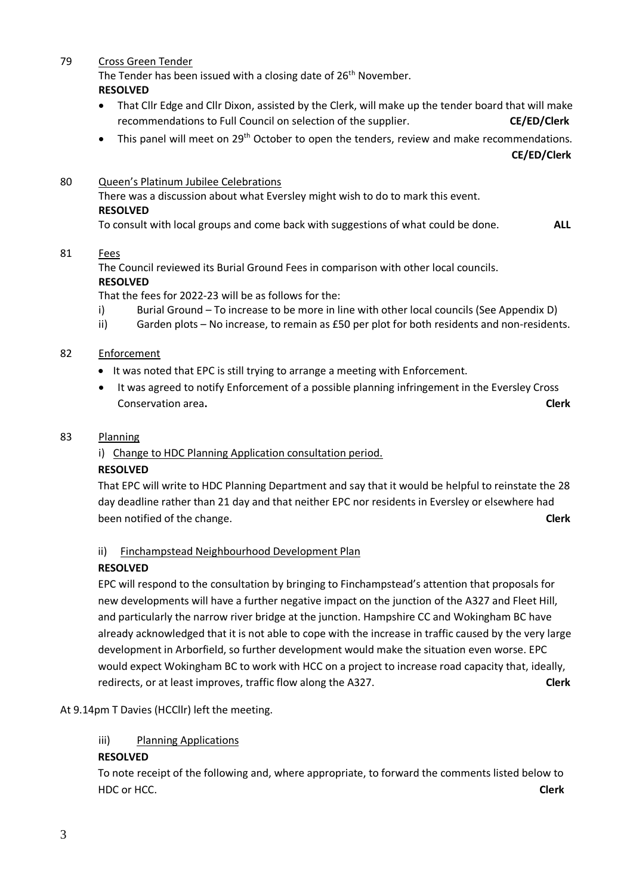### 79 Cross Green Tender

The Tender has been issued with a closing date of 26<sup>th</sup> November. **RESOLVED**

- That Cllr Edge and Cllr Dixon, assisted by the Clerk, will make up the tender board that will make recommendations to Full Council on selection of the supplier. **CE/ED/Clerk**
- This panel will meet on 29<sup>th</sup> October to open the tenders, review and make recommendations.

 **CE/ED/Clerk**

80 Queen's Platinum Jubilee Celebrations

There was a discussion about what Eversley might wish to do to mark this event. **RESOLVED**

To consult with local groups and come back with suggestions of what could be done. **ALL**

## 81 Fees

The Council reviewed its Burial Ground Fees in comparison with other local councils. **RESOLVED**

That the fees for 2022-23 will be as follows for the:

- i) Burial Ground To increase to be more in line with other local councils (See Appendix D)
- ii) Garden plots No increase, to remain as £50 per plot for both residents and non-residents.

## 82 Enforcement

- It was noted that EPC is still trying to arrange a meeting with Enforcement.
- It was agreed to notify Enforcement of a possible planning infringement in the Eversley Cross Conservation area**. Clerk**

## 83 Planning

## i) Change to HDC Planning Application consultation period.

## **RESOLVED**

That EPC will write to HDC Planning Department and say that it would be helpful to reinstate the 28 day deadline rather than 21 day and that neither EPC nor residents in Eversley or elsewhere had been notified of the change. **Clerk**

## ii) Finchampstead Neighbourhood Development Plan

## **RESOLVED**

EPC will respond to the consultation by bringing to Finchampstead's attention that proposals for new developments will have a further negative impact on the junction of the A327 and Fleet Hill, and particularly the narrow river bridge at the junction. Hampshire CC and Wokingham BC have already acknowledged that it is not able to cope with the increase in traffic caused by the very large development in Arborfield, so further development would make the situation even worse. EPC would expect Wokingham BC to work with HCC on a project to increase road capacity that, ideally, redirects, or at least improves, traffic flow along the A327. **Clerk**

## At 9.14pm T Davies (HCCllr) left the meeting.

## iii) Planning Applications

## **RESOLVED**

To note receipt of the following and, where appropriate, to forward the comments listed below to HDC or HCC. **Clerk**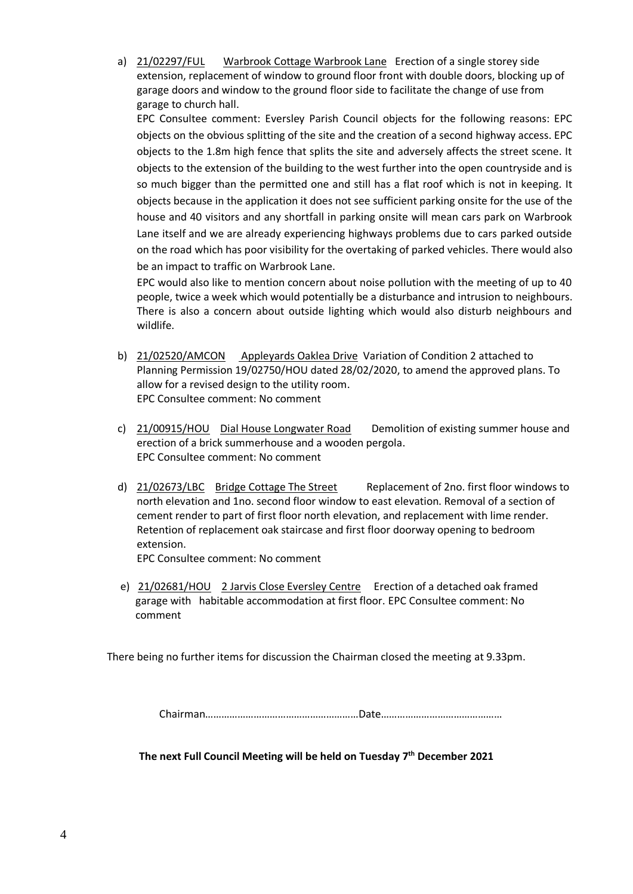a) 21/02297/FUL Warbrook Cottage Warbrook Lane Erection of a single storey side extension, replacement of window to ground floor front with double doors, blocking up of garage doors and window to the ground floor side to facilitate the change of use from garage to church hall.

EPC Consultee comment: Eversley Parish Council objects for the following reasons: EPC objects on the obvious splitting of the site and the creation of a second highway access. EPC objects to the 1.8m high fence that splits the site and adversely affects the street scene. It objects to the extension of the building to the west further into the open countryside and is so much bigger than the permitted one and still has a flat roof which is not in keeping. It objects because in the application it does not see sufficient parking onsite for the use of the house and 40 visitors and any shortfall in parking onsite will mean cars park on Warbrook Lane itself and we are already experiencing highways problems due to cars parked outside on the road which has poor visibility for the overtaking of parked vehicles. There would also be an impact to traffic on Warbrook Lane.

EPC would also like to mention concern about noise pollution with the meeting of up to 40 people, twice a week which would potentially be a disturbance and intrusion to neighbours. There is also a concern about outside lighting which would also disturb neighbours and wildlife.

- b) 21/02520/AMCON Appleyards Oaklea Drive Variation of Condition 2 attached to Planning Permission 19/02750/HOU dated 28/02/2020, to amend the approved plans. To allow for a revised design to the utility room. EPC Consultee comment: No comment
- c) 21/00915/HOU Dial House Longwater Road Demolition of existing summer house and erection of a brick summerhouse and a wooden pergola. EPC Consultee comment: No comment
- d) 21/02673/LBC Bridge Cottage The Street Replacement of 2no. first floor windows to north elevation and 1no. second floor window to east elevation. Removal of a section of cement render to part of first floor north elevation, and replacement with lime render. Retention of replacement oak staircase and first floor doorway opening to bedroom extension.

EPC Consultee comment: No comment

e) 21/02681/HOU 2 Jarvis Close Eversley Centre Erection of a detached oak framed garage with habitable accommodation at first floor. EPC Consultee comment: No comment

There being no further items for discussion the Chairman closed the meeting at 9.33pm.

Chairman…………………………………………………Date………………………………………

**The next Full Council Meeting will be held on Tuesday 7 th December 2021**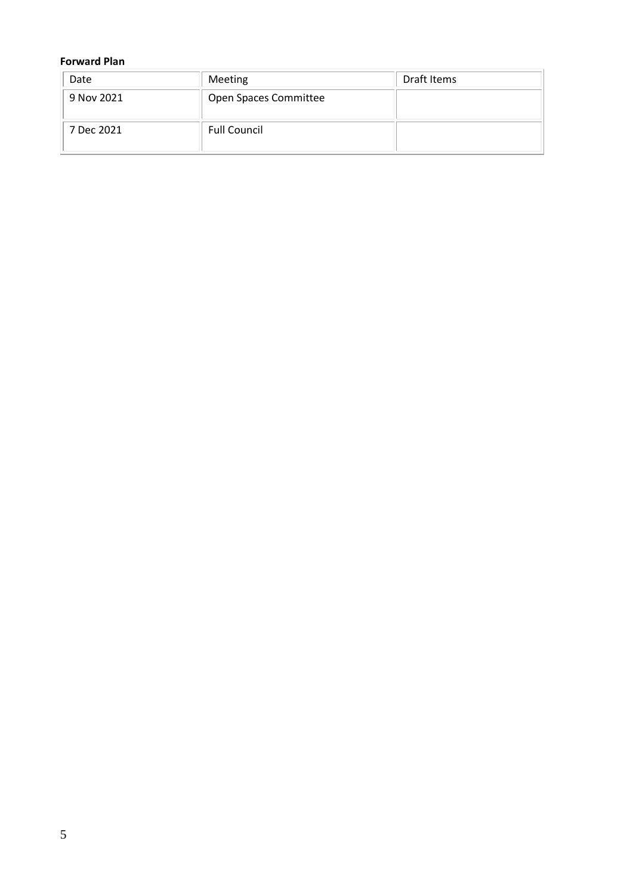## **Forward Plan**

| Date       | Meeting               | Draft Items |
|------------|-----------------------|-------------|
| 9 Nov 2021 | Open Spaces Committee |             |
| 7 Dec 2021 | <b>Full Council</b>   |             |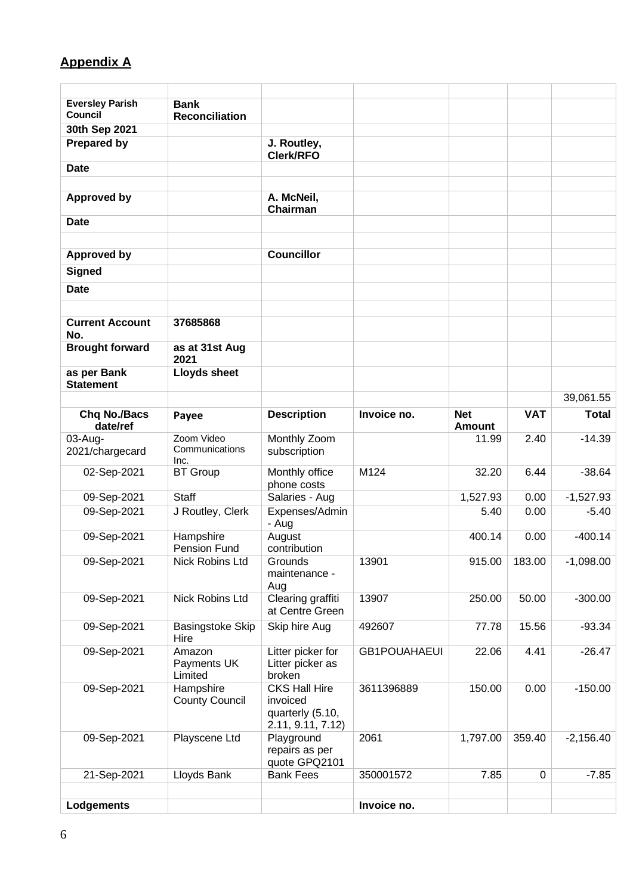# **Appendix A**

| <b>Eversley Parish</b><br><b>Council</b> | <b>Bank</b><br><b>Reconciliation</b> |                                                                           |                     |                             |            |              |
|------------------------------------------|--------------------------------------|---------------------------------------------------------------------------|---------------------|-----------------------------|------------|--------------|
| 30th Sep 2021                            |                                      |                                                                           |                     |                             |            |              |
| <b>Prepared by</b>                       |                                      | J. Routley,<br>Clerk/RFO                                                  |                     |                             |            |              |
| <b>Date</b>                              |                                      |                                                                           |                     |                             |            |              |
|                                          |                                      |                                                                           |                     |                             |            |              |
| <b>Approved by</b>                       |                                      | A. McNeil,<br>Chairman                                                    |                     |                             |            |              |
| <b>Date</b>                              |                                      |                                                                           |                     |                             |            |              |
| <b>Approved by</b>                       |                                      | <b>Councillor</b>                                                         |                     |                             |            |              |
| <b>Signed</b>                            |                                      |                                                                           |                     |                             |            |              |
| <b>Date</b>                              |                                      |                                                                           |                     |                             |            |              |
|                                          |                                      |                                                                           |                     |                             |            |              |
| <b>Current Account</b><br>No.            | 37685868                             |                                                                           |                     |                             |            |              |
| <b>Brought forward</b>                   | as at 31st Aug<br>2021               |                                                                           |                     |                             |            |              |
| as per Bank<br><b>Statement</b>          | <b>Lloyds sheet</b>                  |                                                                           |                     |                             |            |              |
|                                          |                                      |                                                                           |                     |                             |            | 39,061.55    |
| <b>Chq No./Bacs</b><br>date/ref          | Payee                                | <b>Description</b>                                                        | Invoice no.         | <b>Net</b><br><b>Amount</b> | <b>VAT</b> | <b>Total</b> |
| 03-Aug-                                  | Zoom Video                           | Monthly Zoom                                                              |                     | 11.99                       | 2.40       | $-14.39$     |
| 2021/chargecard                          | Communications<br>Inc.               | subscription                                                              |                     |                             |            |              |
| 02-Sep-2021                              | <b>BT</b> Group                      | Monthly office<br>phone costs                                             | M124                | 32.20                       | 6.44       | $-38.64$     |
| 09-Sep-2021                              | <b>Staff</b>                         | Salaries - Aug                                                            |                     | 1,527.93                    | 0.00       | $-1,527.93$  |
| 09-Sep-2021                              | J Routley, Clerk                     | Expenses/Admin<br>- Aug                                                   |                     | 5.40                        | 0.00       | $-5.40$      |
| 09-Sep-2021                              | Hampshire<br>Pension Fund            | August<br>contribution                                                    |                     | 400.14                      | 0.00       | $-400.14$    |
| 09-Sep-2021                              | Nick Robins Ltd                      | Grounds<br>maintenance -<br>Aug                                           | 13901               | 915.00                      | 183.00     | $-1,098.00$  |
| 09-Sep-2021                              | Nick Robins Ltd                      | Clearing graffiti<br>at Centre Green                                      | 13907               | 250.00                      | 50.00      | $-300.00$    |
| 09-Sep-2021                              | Basingstoke Skip<br>Hire             | Skip hire Aug                                                             | 492607              | 77.78                       | 15.56      | $-93.34$     |
| 09-Sep-2021                              | Amazon<br>Payments UK<br>Limited     | Litter picker for<br>Litter picker as<br>broken                           | <b>GB1POUAHAEUI</b> | 22.06                       | 4.41       | $-26.47$     |
| 09-Sep-2021                              | Hampshire<br><b>County Council</b>   | <b>CKS Hall Hire</b><br>invoiced<br>quarterly (5.10,<br>2.11, 9.11, 7.12) | 3611396889          | 150.00                      | 0.00       | $-150.00$    |
| 09-Sep-2021                              | Playscene Ltd                        | Playground<br>repairs as per<br>quote GPQ2101                             | 2061                | 1,797.00                    | 359.40     | $-2,156.40$  |
| 21-Sep-2021                              | Lloyds Bank                          | <b>Bank Fees</b>                                                          | 350001572           | 7.85                        | 0          | $-7.85$      |
|                                          |                                      |                                                                           |                     |                             |            |              |
| Lodgements                               |                                      |                                                                           | Invoice no.         |                             |            |              |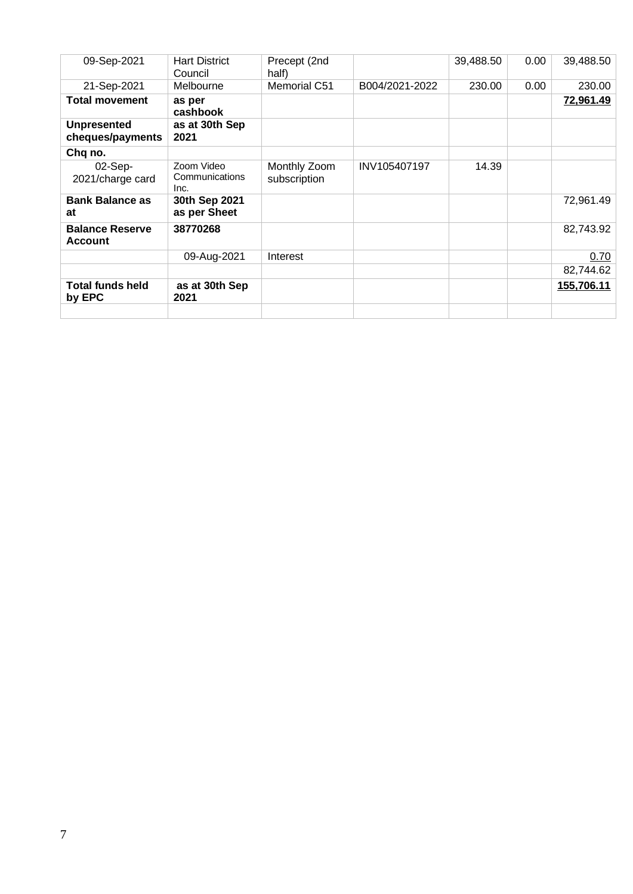| 09-Sep-2021                              | <b>Hart District</b><br>Council      | Precept (2nd<br>half)        |                | 39,488.50 | 0.00 | 39,488.50        |
|------------------------------------------|--------------------------------------|------------------------------|----------------|-----------|------|------------------|
| 21-Sep-2021                              | Melbourne                            | Memorial C51                 | B004/2021-2022 | 230.00    | 0.00 | 230.00           |
| <b>Total movement</b>                    | as per<br>cashbook                   |                              |                |           |      | <u>72,961.49</u> |
| <b>Unpresented</b><br>cheques/payments   | as at 30th Sep<br>2021               |                              |                |           |      |                  |
| Chq no.                                  |                                      |                              |                |           |      |                  |
| 02-Sep-<br>2021/charge card              | Zoom Video<br>Communications<br>Inc. | Monthly Zoom<br>subscription | INV105407197   | 14.39     |      |                  |
| <b>Bank Balance as</b><br>at             | 30th Sep 2021<br>as per Sheet        |                              |                |           |      | 72,961.49        |
| <b>Balance Reserve</b><br><b>Account</b> | 38770268                             |                              |                |           |      | 82,743.92        |
|                                          | 09-Aug-2021                          | Interest                     |                |           |      | 0.70             |
|                                          |                                      |                              |                |           |      | 82,744.62        |
| <b>Total funds held</b><br>by EPC        | as at 30th Sep<br>2021               |                              |                |           |      | 155,706.11       |
|                                          |                                      |                              |                |           |      |                  |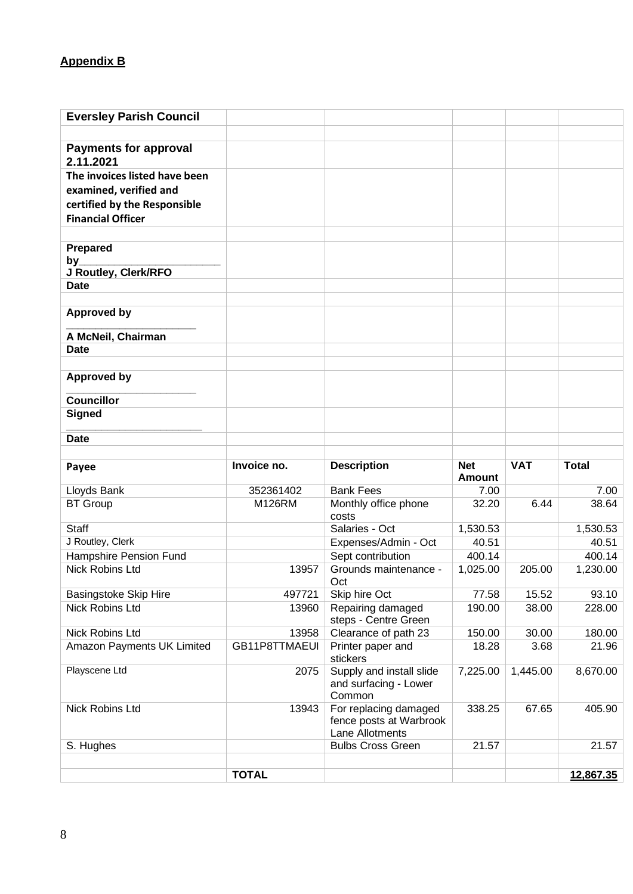## **Appendix B**

| <b>Eversley Parish Council</b> |               |                                                   |                             |            |                                          |
|--------------------------------|---------------|---------------------------------------------------|-----------------------------|------------|------------------------------------------|
|                                |               |                                                   |                             |            |                                          |
| <b>Payments for approval</b>   |               |                                                   |                             |            |                                          |
| 2.11.2021                      |               |                                                   |                             |            |                                          |
| The invoices listed have been  |               |                                                   |                             |            |                                          |
| examined, verified and         |               |                                                   |                             |            |                                          |
| certified by the Responsible   |               |                                                   |                             |            |                                          |
| <b>Financial Officer</b>       |               |                                                   |                             |            |                                          |
|                                |               |                                                   |                             |            |                                          |
| Prepared                       |               |                                                   |                             |            |                                          |
| by<br>J Routley, Clerk/RFO     |               |                                                   |                             |            |                                          |
| <b>Date</b>                    |               |                                                   |                             |            |                                          |
|                                |               |                                                   |                             |            |                                          |
| <b>Approved by</b>             |               |                                                   |                             |            |                                          |
|                                |               |                                                   |                             |            |                                          |
| A McNeil, Chairman             |               |                                                   |                             |            |                                          |
| <b>Date</b>                    |               |                                                   |                             |            |                                          |
| <b>Approved by</b>             |               |                                                   |                             |            |                                          |
|                                |               |                                                   |                             |            |                                          |
| <b>Councillor</b>              |               |                                                   |                             |            |                                          |
| <b>Signed</b>                  |               |                                                   |                             |            |                                          |
|                                |               |                                                   |                             |            |                                          |
| <b>Date</b>                    |               |                                                   |                             |            |                                          |
|                                |               |                                                   |                             |            |                                          |
|                                |               |                                                   |                             |            |                                          |
| Payee                          | Invoice no.   | <b>Description</b>                                | <b>Net</b><br><b>Amount</b> | <b>VAT</b> | <b>Total</b>                             |
| Lloyds Bank                    | 352361402     | <b>Bank Fees</b>                                  | 7.00                        |            | 7.00                                     |
| <b>BT Group</b>                | M126RM        | Monthly office phone                              | 32.20                       | 6.44       | 38.64                                    |
|                                |               | costs                                             |                             |            |                                          |
| <b>Staff</b>                   |               | Salaries - Oct                                    | 1,530.53                    |            | 1,530.53                                 |
| J Routley, Clerk               |               | Expenses/Admin - Oct                              | 40.51                       |            |                                          |
| Hampshire Pension Fund         |               | Sept contribution                                 | 400.14                      |            |                                          |
| <b>Nick Robins Ltd</b>         | 13957         | Grounds maintenance -<br>Oct                      | 1,025.00                    | 205.00     |                                          |
| <b>Basingstoke Skip Hire</b>   | 497721        | Skip hire Oct                                     | 77.58                       | 15.52      | 93.10                                    |
| Nick Robins Ltd                | 13960         | Repairing damaged                                 | 190.00                      | 38.00      | 228.00                                   |
|                                |               | steps - Centre Green                              |                             |            |                                          |
| Nick Robins Ltd                | 13958         | Clearance of path 23                              | 150.00                      | 30.00      | 180.00                                   |
| Amazon Payments UK Limited     | GB11P8TTMAEUI | Printer paper and                                 | 18.28                       | 3.68       | 21.96                                    |
| Playscene Ltd                  |               | stickers                                          |                             |            |                                          |
|                                | 2075          | Supply and install slide<br>and surfacing - Lower | 7,225.00                    | 1,445.00   | 8,670.00                                 |
|                                |               | Common                                            |                             |            |                                          |
| Nick Robins Ltd                | 13943         | For replacing damaged                             | 338.25                      | 67.65      | 405.90                                   |
|                                |               | fence posts at Warbrook                           |                             |            |                                          |
|                                |               | Lane Allotments                                   |                             |            |                                          |
| S. Hughes                      |               | <b>Bulbs Cross Green</b>                          | 21.57                       |            | 21.57                                    |
|                                | <b>TOTAL</b>  |                                                   |                             |            | 40.51<br>400.14<br>1,230.00<br>12,867.35 |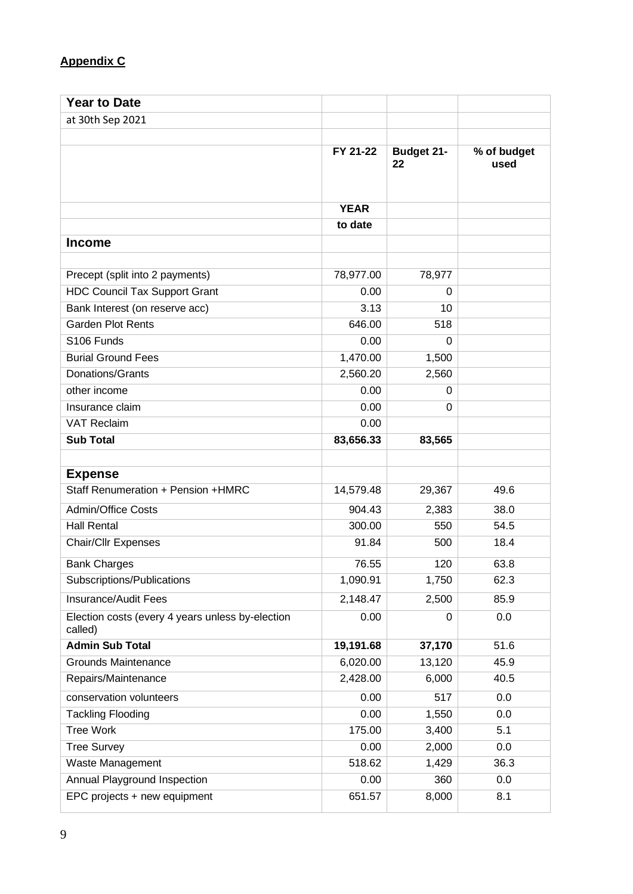## **Appendix C**

| <b>Year to Date</b>                                         |             |                         |                     |
|-------------------------------------------------------------|-------------|-------------------------|---------------------|
| at 30th Sep 2021                                            |             |                         |                     |
|                                                             |             |                         |                     |
|                                                             | FY 21-22    | <b>Budget 21-</b><br>22 | % of budget<br>used |
|                                                             | <b>YEAR</b> |                         |                     |
|                                                             | to date     |                         |                     |
| <b>Income</b>                                               |             |                         |                     |
|                                                             |             |                         |                     |
| Precept (split into 2 payments)                             | 78,977.00   | 78,977                  |                     |
| <b>HDC Council Tax Support Grant</b>                        | 0.00        | 0                       |                     |
| Bank Interest (on reserve acc)                              | 3.13        | 10                      |                     |
| <b>Garden Plot Rents</b>                                    | 646.00      | 518                     |                     |
| S106 Funds                                                  | 0.00        | 0                       |                     |
| <b>Burial Ground Fees</b>                                   | 1,470.00    | 1,500                   |                     |
| Donations/Grants                                            | 2,560.20    | 2,560                   |                     |
| other income                                                | 0.00        | 0                       |                     |
| Insurance claim                                             | 0.00        | 0                       |                     |
| <b>VAT Reclaim</b>                                          | 0.00        |                         |                     |
| <b>Sub Total</b>                                            | 83,656.33   | 83,565                  |                     |
|                                                             |             |                         |                     |
| <b>Expense</b>                                              |             |                         |                     |
| Staff Renumeration + Pension +HMRC                          | 14,579.48   | 29,367                  | 49.6                |
| <b>Admin/Office Costs</b>                                   | 904.43      | 2,383                   | 38.0                |
| <b>Hall Rental</b>                                          | 300.00      | 550                     | 54.5                |
| <b>Chair/Cllr Expenses</b>                                  | 91.84       | 500                     | 18.4                |
| <b>Bank Charges</b>                                         | 76.55       | 120                     | 63.8                |
| Subscriptions/Publications                                  | 1,090.91    | 1,750                   | 62.3                |
| Insurance/Audit Fees                                        | 2,148.47    | 2,500                   | 85.9                |
| Election costs (every 4 years unless by-election<br>called) | 0.00        | 0                       | 0.0                 |
| <b>Admin Sub Total</b>                                      | 19,191.68   | 37,170                  | 51.6                |
| <b>Grounds Maintenance</b>                                  | 6,020.00    | 13,120                  | 45.9                |
| Repairs/Maintenance                                         | 2,428.00    | 6,000                   | 40.5                |
| conservation volunteers                                     | 0.00        | 517                     | 0.0                 |
| <b>Tackling Flooding</b>                                    | 0.00        | 1,550                   | 0.0                 |
| <b>Tree Work</b>                                            | 175.00      | 3,400                   | 5.1                 |
| <b>Tree Survey</b>                                          | 0.00        | 2,000                   | 0.0                 |
| Waste Management                                            | 518.62      | 1,429                   | 36.3                |
| Annual Playground Inspection                                | 0.00        | 360                     | 0.0                 |
| EPC projects + new equipment                                | 651.57      | 8,000                   | 8.1                 |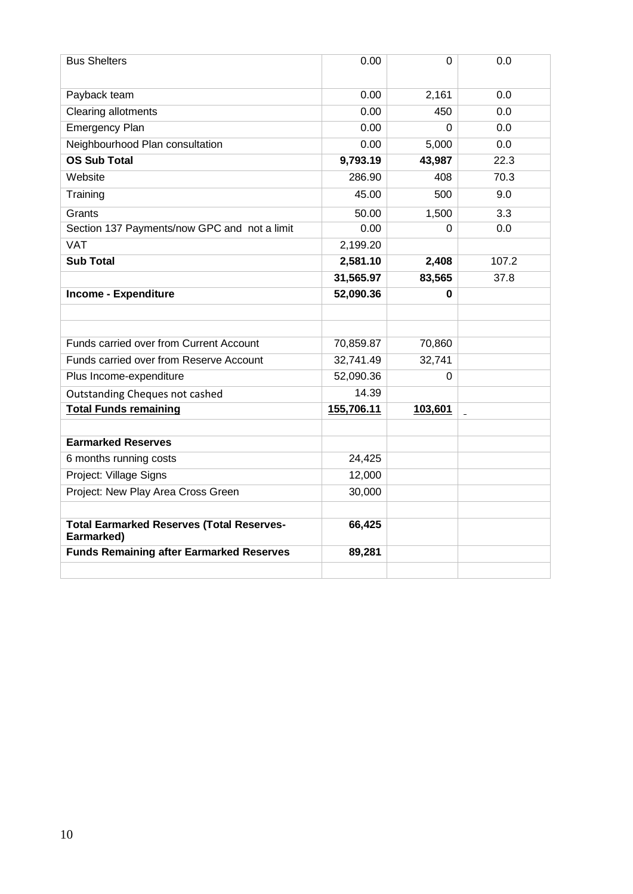| <b>Bus Shelters</b>                                            | 0.00       | $\Omega$                  | 0.0   |
|----------------------------------------------------------------|------------|---------------------------|-------|
| Payback team                                                   | 0.00       | 2,161                     | 0.0   |
| <b>Clearing allotments</b>                                     | 0.00       | 450                       | 0.0   |
| <b>Emergency Plan</b>                                          | 0.00       | 0                         | 0.0   |
| Neighbourhood Plan consultation                                | 0.00       | 5,000                     | 0.0   |
| <b>OS Sub Total</b>                                            | 9,793.19   | 43,987                    | 22.3  |
| Website                                                        | 286.90     | 408                       | 70.3  |
| Training                                                       | 45.00      | 500                       | 9.0   |
| Grants                                                         | 50.00      | 1,500                     | 3.3   |
| Section 137 Payments/now GPC and not a limit                   | 0.00       | 0                         | 0.0   |
| <b>VAT</b>                                                     | 2,199.20   |                           |       |
| <b>Sub Total</b>                                               | 2,581.10   | 2,408                     | 107.2 |
|                                                                | 31,565.97  | 83,565                    | 37.8  |
| <b>Income - Expenditure</b>                                    | 52,090.36  | 0                         |       |
|                                                                |            |                           |       |
|                                                                |            |                           |       |
| Funds carried over from Current Account                        | 70,859.87  | 70,860                    |       |
| Funds carried over from Reserve Account                        | 32,741.49  | 32,741                    |       |
| Plus Income-expenditure                                        | 52,090.36  | 0                         |       |
| <b>Outstanding Cheques not cashed</b>                          | 14.39      |                           |       |
| <b>Total Funds remaining</b>                                   | 155,706.11 | 103,601<br>$\blacksquare$ |       |
|                                                                |            |                           |       |
| <b>Earmarked Reserves</b>                                      |            |                           |       |
| 6 months running costs                                         | 24,425     |                           |       |
| Project: Village Signs                                         | 12,000     |                           |       |
| Project: New Play Area Cross Green                             | 30,000     |                           |       |
|                                                                |            |                           |       |
| <b>Total Earmarked Reserves (Total Reserves-</b><br>Earmarked) | 66,425     |                           |       |
| <b>Funds Remaining after Earmarked Reserves</b>                | 89,281     |                           |       |
|                                                                |            |                           |       |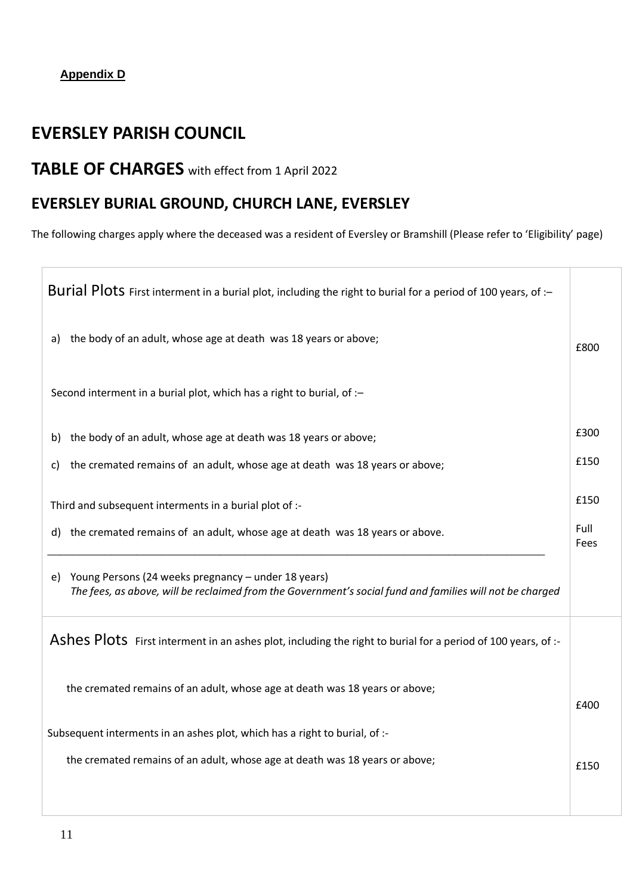## **Appendix D**

## **EVERSLEY PARISH COUNCIL**

# **TABLE OF CHARGES** with effect from 1 April 2022

## **EVERSLEY BURIAL GROUND, CHURCH LANE, EVERSLEY**

The following charges apply where the deceased was a resident of Eversley or Bramshill (Please refer to 'Eligibility' page)

| Burial Plots First interment in a burial plot, including the right to burial for a period of 100 years, of :-                                                         |              |
|-----------------------------------------------------------------------------------------------------------------------------------------------------------------------|--------------|
| the body of an adult, whose age at death was 18 years or above;<br>a)                                                                                                 | £800         |
| Second interment in a burial plot, which has a right to burial, of :-                                                                                                 |              |
| b) the body of an adult, whose age at death was 18 years or above;                                                                                                    | £300         |
| the cremated remains of an adult, whose age at death was 18 years or above;<br>C)                                                                                     | £150         |
| Third and subsequent interments in a burial plot of :-                                                                                                                | £150         |
| d) the cremated remains of an adult, whose age at death was 18 years or above.                                                                                        | Full<br>Fees |
| Young Persons (24 weeks pregnancy - under 18 years)<br>e)<br>The fees, as above, will be reclaimed from the Government's social fund and families will not be charged |              |
| Ashes Plots First interment in an ashes plot, including the right to burial for a period of 100 years, of :-                                                          |              |
| the cremated remains of an adult, whose age at death was 18 years or above;                                                                                           | £400         |
| Subsequent interments in an ashes plot, which has a right to burial, of :-                                                                                            |              |
| the cremated remains of an adult, whose age at death was 18 years or above;                                                                                           | £150         |
|                                                                                                                                                                       |              |